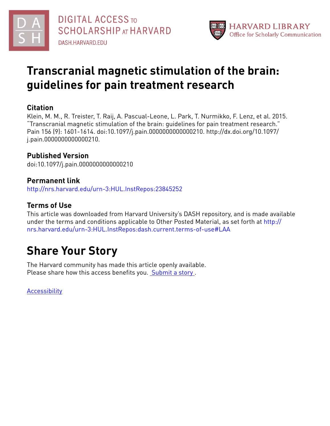



## **Transcranial magnetic stimulation of the brain: guidelines for pain treatment research**

## **Citation**

Klein, M. M., R. Treister, T. Raij, A. Pascual-Leone, L. Park, T. Nurmikko, F. Lenz, et al. 2015. "Transcranial magnetic stimulation of the brain: guidelines for pain treatment research." Pain 156 (9): 1601-1614. doi:10.1097/j.pain.0000000000000210. http://dx.doi.org/10.1097/ j.pain.0000000000000210.

## **Published Version**

doi:10.1097/j.pain.0000000000000210

### **Permanent link** <http://nrs.harvard.edu/urn-3:HUL.InstRepos:23845252>

## **Terms of Use**

This article was downloaded from Harvard University's DASH repository, and is made available under the terms and conditions applicable to Other Posted Material, as set forth at [http://](http://nrs.harvard.edu/urn-3:HUL.InstRepos:dash.current.terms-of-use#LAA) [nrs.harvard.edu/urn-3:HUL.InstRepos:dash.current.terms-of-use#LAA](http://nrs.harvard.edu/urn-3:HUL.InstRepos:dash.current.terms-of-use#LAA)

# **Share Your Story**

The Harvard community has made this article openly available. Please share how this access benefits you. [Submit](http://osc.hul.harvard.edu/dash/open-access-feedback?handle=&title=Transcranial%20magnetic%20stimulation%20of%20the%20brain:%20guidelines%20for%20pain%20treatment%20research&community=1/4454685&collection=1/4454686&owningCollection1/4454686&harvardAuthors=f72370d40ec921e6f7adffe64880aeb0&department) a story .

[Accessibility](https://dash.harvard.edu/pages/accessibility)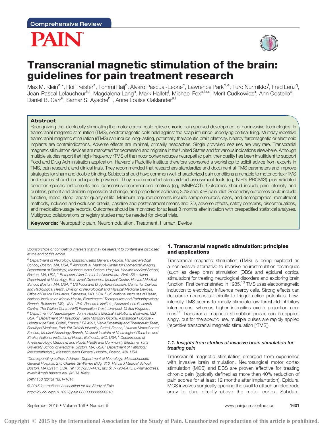



## Transcranial magnetic stimulation of the brain: guidelines for pain treatment research

Max M. Klein<sup>a,</sup>\*, Roi Treister<sup>a</sup>, Tommi Raij<sup>b</sup>, Alvaro Pascual-Leone<sup>c</sup>, Lawrence Park<sup>d,e</sup>, Turo Nurmikko<sup>f</sup>, Fred Lenz<sup>g</sup>, Jean-Pascal Lefaucheur<sup>h,i</sup>, Magdalena Lang<sup>a</sup>, Mark Hallett<sup>i</sup>, Michael Fox<sup>a,b,c</sup>, Merit Cudkowicz<sup>a</sup>, Ann Costello<sup>d</sup>, Daniel B. Carr<sup>k</sup>, Samar S. Ayache<sup>h, i</sup>, Anne Louise Oaklander<sup>a, i</sup>

#### Abstract

Recognizing that electrically stimulating the motor cortex could relieve chronic pain sparked development of noninvasive technologies. In transcranial magnetic stimulation (TMS), electromagnetic coils held against the scalp influence underlying cortical firing. Multiday repetitive transcranial magnetic stimulation (rTMS) can induce long-lasting, potentially therapeutic brain plasticity. Nearby ferromagnetic or electronic implants are contraindications. Adverse effects are minimal, primarily headaches. Single provoked seizures are very rare. Transcranial magnetic stimulation devices are marketed for depression and migraine in the United States and for various indications elsewhere. Although multiple studies report that high-frequency rTMS of the motor cortex reduces neuropathic pain, their quality has been insufficient to support Food and Drug Administration application. Harvard's Radcliffe Institute therefore sponsored a workshop to solicit advice from experts in TMS, pain research, and clinical trials. They recommended that researchers standardize and document all TMS parameters and improve strategies for sham and double blinding. Subjects should have common well-characterized pain conditions amenable to motor cortex rTMS and studies should be adequately powered. They recommended standardized assessment tools (eg, NIH's PROMIS) plus validated condition-specific instruments and consensus-recommended metrics (eg, IMMPACT). Outcomes should include pain intensity and qualities, patient and clinician impression of change, and proportions achieving 30% and 50% pain relief. Secondary outcomes could include function, mood, sleep, and/or quality of life. Minimum required elements include sample sources, sizes, and demographics, recruitment methods, inclusion and exclusion criteria, baseline and posttreatment means and SD, adverse effects, safety concerns, discontinuations, and medication-usage records. Outcomes should be monitored for at least 3 months after initiation with prespecified statistical analyses. Multigroup collaborations or registry studies may be needed for pivotal trials.

**Keywords:** Neuropathic pain, Neuromodulation, Treatment, Human, Device

Sponsorships or competing interests that may be relevant to content are disclosed at the end of this article.

a Department of Neurology, Massachusetts General Hospital, Harvard Medical School, Boston, MA, USA, <sup>b</sup> Athinoula A. Martinos Center for Biomedical Imaging, Department of Radiology, Massachusetts General Hospital, Harvard Medical School, Boston, MA, USA, <sup>c</sup> Berenson-Allen Center for Noninvasive Brain Stimulation, Department of Neurology, Beth Israel Deaconess Medical Center, Harvard Medical School, Boston, MA, USA, <sup>d</sup> US Food and Drug Administration, Center for Devices and Radiological Health, Division of Neurological and Physical Medicine Devices, Office of Device Evaluation, Bethesda, MD, USA, <sup>e</sup> US National Institutes of Health, National Institute on Mental Health, Experimental Therapeutics and Pathophysiology Branch, Bethesda, MD, USA, <sup>f</sup> Pain Research Institute, Neuroscience Research Centre, The Walton Centre NHS Foundation Trust, Liverpool, United Kingdom, <sup>g</sup> Department of Neurosurgery, Johns Hopkins Medical Institutions, Baltimore, MD, USA, <sup>h</sup> Department of Physiology, Henri Mondor Hospital, Assistance Publique -Hôpitaux de Paris, Créteil, France, <sup>i</sup> EA 4391, Nerve Excitability and Therapeutic Team, Faculty of Medicine, Paris Est Créteil University, Créteil, France, <sup>i</sup> Human Motor Control Section, Medical Neurology Branch, National Institute of Neurological Disorders and Stroke, National Institutes of Health, Bethesda, MD, USA, <sup>k</sup> Departments of Anesthesiology, Medicine, and Public Health and Community Medicine, Tufts University School of Medicine, Boston, MA, USA, <sup>I</sup> Department of Pathology (Neuropathology), Massachusetts General Hospital, Boston, MA, USA

\*Corresponding author. Address: Department of Neurology, Massachusetts General Hospital, 275 Charles St/Warren Bldg. 310, Harvard Medical School, Boston, MA 02114, USA. Tel.: 617-233-4476; fax: 617-726-0473. E-mail address: mklein@mgh.harvard.edu (M. M. Klein).

PAIN 156 (2015) 1601–1614

© 2015 International Association for the Study of Pain http://dx.doi.org/10.1097/j.pain.0000000000000210

### 1. Transcranial magnetic stimulation: principles and applications

Transcranial magnetic stimulation (TMS) is being explored as a noninvasive alternative to invasive neurostimulation techniques (such as deep brain stimulation (DBS) and epidural cortical stimulation) for treating neurological disorders and exploring brain function. First demonstrated in 1985,<sup>13</sup> TMS uses electromagnetic induction to electrically influence nearby cells. Strong effects can depolarize neurons sufficiently to trigger action potentials. Lowintensity TMS seems to mostly stimulate low-threshold inhibitory interneurons, whereas higher intensities excite projection neurons.<sup>92</sup> Transcranial magnetic stimulation pulses can be applied singly, but for therapeutic use, multiple pulses are rapidly applied (repetitive transcranial magnetic stimulation [rTMS]).

#### 1.1. Insights from studies of invasive brain stimulation for treating pain

Transcranial magnetic stimulation emerged from experience with invasive brain stimulation. Neurosurgical motor cortex stimulation (MCS) and DBS are proven effective for treating chronic pain (typically defined as more than 40% reduction of pain scores for at least 12 months after implantation). Epidural MCS involves surgically opening the skull to attach an electrode array to dura directly above the motor cortex. Subdural

September 2015 • Volume 156 • Number 9 www.painjournalonline.com 1601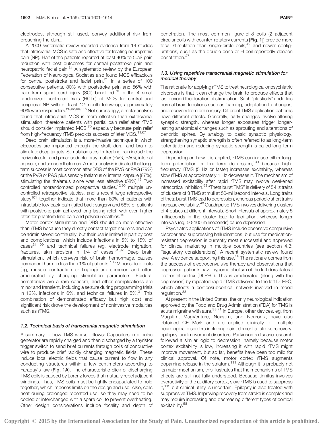electrodes, although still used, convey additional risk from breaching the dura.

A 2009 systematic review reported evidence from 14 studies that intracranial MCS is safe and effective for treating neuropathic pain (NP). Half of the patients reported at least 40% to 50% pain reduction with best outcomes for central poststroke pain and neuropathic facial pain.<sup>31</sup> A systematic review by the European Federation of Neurological Societies also found MCS efficacious for central poststroke and facial pain. $21$  In a series of 100 consecutive patients, 80% with poststroke pain and 56% with pain from spinal cord injury (SCI) benefited.<sup>78</sup> In the 4 small randomized controlled trials (RCTs) of MCS for central and peripheral NP with at least 12-month follow-up, approximately  $60\%$  were responders.  $60,62,66,116$  Not surprisingly, a meta-analysis found that intracranial MCS is more effective than extracranial stimulation, therefore patients with partial pain relief after rTMS should consider implanted MCS,<sup>70</sup> especially because pain relief from high-frequency rTMS predicts success of later MCS.<sup>11,67</sup>

Deep brain stimulation is a more-invasive technique in which electrodes are implanted through the skull, dura, and brain to stimulate deep targets. Stimulation sites for treating pain include the periventricular and periaqueductal gray matter (PVG, PAG), internal capsule, and sensory thalamus. A meta-analysis indicated that longterm success is most common after DBS of the PVG or PAG (79%) or the PVG or PAG plus sensory thalamus or internal capsule (87%); stimulating the thalamus alone was less effective (58%).<sup>15</sup> Two controlled nonrandomized prospective studies,<sup>42,90</sup> multiple uncontrolled retrospective studies, and a recent large retrospective study<sup>101</sup> together indicate that more than 80% of patients with intractable low back pain (failed back surgery) and 58% of patients with poststroke pain achieved long-lasting relief, with even higher rates for phantom limb pain and polyneuropathies.<sup>15</sup>

Motor cortex stimulation and DBS should be more effective than rTMS because they directly contact target neurons and can be administered continually, but their use is limited in part by cost and complications, which include infections in 5% to 15% of  $cases<sup>31,109</sup>$  and technical failures (eg, electrode migration, fractures, skin erosion) in  $1/4$  of cases.  $31,87$  Deep brain stimulation, which conveys risk of brain hemorrhage, causes permanent harm in less than 1% of patients.<sup>105</sup> Minor side effects (eg, muscle contraction or tingling) are common and often ameliorated by changing stimulation parameters. Epidural hematomas are a rare concern, and other complications are minor and transient, including a seizure during programming trials in 12%, infections in 6%, and technical failures in  $5\%$ .<sup>31</sup> This combination of demonstrated efficacy but high cost and significant risk drove the development of noninvasive modalities such as rTMS.

#### 1.2. Technical basis of transcranial magnetic stimulation

A summary of how TMS works follows: Capacitors in a pulse generator are rapidly charged and then discharged by a thyristor trigger switch to send brief currents through coils of conductive wire to produce brief rapidly changing magnetic fields. These induce local electric fields that cause current to flow in any conducting structures within a few centimeters according to Faraday's law (Fig. 1A). The characteristic click of discharging TMS coils is caused by Lorenz forces that mutually repel adjacent windings. Thus, TMS coils must be tightly encapsulated to hold together, which imposes limits on the design and use. Also, coils heat during prolonged repeated use, so they may need to be cooled or interchanged with a spare coil to prevent overheating. Other design considerations include focality and depth of penetration. The most common figure-of-8 coils (2 adjacent circular coils with counter-rotatory currents [**Fig. 1**]) provide more<br>focal stimulation than single-circle coils,<sup>49</sup> and newer configurations, such as the double cone or H coil reportedly deepen penetration.<sup>27</sup>

#### 1.3. Using repetitive transcranial magnetic stimulation for medical therapy

The rationale for applying rTMS to treat neurological or psychiatric disorders is that it can change the brain to produce effects that last beyond the duration of stimulation. Such "plasticity" underlies normal brain functions such as learning, adaptation to changes, and recovery from brain injury. Different TMS application patterns have different effects. Generally, early changes involve altering synaptic strength, whereas longer exposures trigger longerlasting anatomical changes such as sprouting and alterations of dendritic spines. By analogy to basic synaptic physiology, strengthening synaptic strength is often referred to as long-term potentiation and reducing synaptic strength is called long-term depression.

Depending on how it is applied, rTMS can induce either longterm potentiation or long-term depression, $100$  because highfrequency rTMS (5 Hz or faster) increases excitability, whereas slow rTMS at approximately 1 Hz decreases it. The mechanism of increased excitability after rapid rTMS may involve weakened intracortical inhibition.<sup>53</sup> "Theta burst TMS" is delivery of 5-Hz trains of clusters of 3 TMS stimuli at 50-millisecond intervals. Long trains of theta burst TMS lead to depression, whereas periodic short trains increase excitability.<sup>48</sup> Quadripulse TMS involves delivering clusters of 4 pulses at different intervals. Short intervals of approximately 5 milliseconds in the cluster lead to facilitation, whereas longer intervals (eg, 50-100 milliseconds) cause depression.

Psychiatric applications of rTMS include obsessive compulsive disorder and suppressing hallucinations, but use for medicationresistant depression is currently most successful and approved for clinical marketing in multiple countries (see section 4.3; Regulatory considerations). A recent systematic review found level A evidence supporting this use.<sup>58</sup> The rationale comes from the success of electroconvulsive therapy and observations that depressed patients have hypometabolism of the left dorsolateral prefrontal cortex (DLPFC). This is ameliorated (along with the depression) by repeated rapid rTMS delivered to the left DLPFC, which affects a corticosubcortical network involved in mood regulation.<sup>33</sup>

At present in the United States, the only neurological indication approved by the Food and Drug Administration (FDA) for TMS is acute migraine with aura.<sup>33,71</sup> In Europe, other devices, eg, from Magstim, MagVenture, Nexstim, and Neuronix, have also obtained CE Mark and are applied clinically for multiple neurological disorders including pain, dementia, stroke recovery, epilepsy, and movement disorders. Parkinson's disease research followed a similar logic to depression, namely because motor cortex excitability is low, increasing it with rapid rTMS might improve movement, but so far, benefits have been too mild for clinical approval. Of note, motor cortex rTMS augments dopamine release in the striatum.<sup>111</sup> Although it is probably not its major mechanism, this illustrates that the mechanisms of TMS effects are still not fully understood. Because tinnitus involves overactivity of the auditory cortex, slow rTMS is used to suppress  $it$ ,<sup>112</sup> but clinical utility is uncertain. Epilepsy is also treated with suppressive TMS. Improving recovery from stroke is complex and may require increasing and decreasing different types of cortical excitability.<sup>58</sup>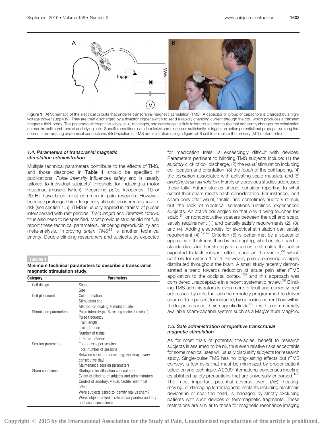

Figure 1. (A) Schematic of the electrical circuits that underlie transcranial magnetic stimulation (TMS): A capacitor or group of capacitors is charged by a highvoltage power supply (V). They are then discharged by a thyristor trigger switch to send a rapidly changing current through the coil, which produces a transient magnetic field locally. This penetrates through the scalp, skull, meninges, and cerebrospinal fluid to induce a current pulse that transiently changes the polarization across the cell membrane of underlying cells. Specific conditions can depolarize some neurons sufficiently to trigger an action potential that propagates along that neuron's pre-existing anatomical connections. (B) Depiction of TMS administration using a figure-of-8 coil to stimulate the primary (M1) motor cortex.

#### 1.4. Parameters of transcranial magnetic stimulation administration

Multiple technical parameters contribute to the effects of TMS, and those described in Table 1 should be specified in publications. Pulse intensity influences safety and is usually tailored to individual subjects' threshold for inducing a motor response (muscle twitch). Regarding pulse frequency, 10 or 20 Hz have been most common in pain research. However, because prolonged high-frequency stimulation increases seizure risk (see section 1.5), rTMS is usually applied in "trains" of pulses interspersed with rest periods. Train length and intertrain interval thus also need to be specified. Most previous studies did not fully report these technical parameters, hindering reproducibility and meta-analysis. Improving sham TMS<sup>23</sup> is another technical priority. Double blinding researchers and subjects, as expected

#### Table 1

Minimum technical parameters to describe a transcranial magnetic stimulation study.

| Category               | <b>Parameters</b>                                   |  |  |  |  |  |
|------------------------|-----------------------------------------------------|--|--|--|--|--|
| Coil design            | Shape                                               |  |  |  |  |  |
|                        | <b>Size</b>                                         |  |  |  |  |  |
| Coil placement         | Coil orientation                                    |  |  |  |  |  |
|                        | Stimulation site                                    |  |  |  |  |  |
|                        | Method for locating stimulation site                |  |  |  |  |  |
| Stimulation parameters | Pulse intensity (as % resting motor threshold)      |  |  |  |  |  |
|                        | Pulse frequency                                     |  |  |  |  |  |
|                        | Train length                                        |  |  |  |  |  |
|                        | Train duration                                      |  |  |  |  |  |
|                        | Number of trains                                    |  |  |  |  |  |
|                        | Intertrain interval                                 |  |  |  |  |  |
| Session parameters     | Total pulses per session                            |  |  |  |  |  |
|                        | Total number of sessions                            |  |  |  |  |  |
|                        | Between session intervals (eg, weekday, every       |  |  |  |  |  |
|                        | consecutive day)                                    |  |  |  |  |  |
|                        | Maintenance session parameters                      |  |  |  |  |  |
| Sham conditions        | Strategies for allocation concealment               |  |  |  |  |  |
|                        | Extent of blinding of subjects and administrators   |  |  |  |  |  |
|                        | Control of auditory, visual, tactile, electrical    |  |  |  |  |  |
|                        | effects                                             |  |  |  |  |  |
|                        | Were subjects asked to identify real vs sham?       |  |  |  |  |  |
|                        | Were subjects asked to rate sensory and/or auditory |  |  |  |  |  |
|                        | and visual sensations?                              |  |  |  |  |  |

for medication trials, is exceedingly difficult with devices. Parameters pertinent to blinding TMS subjects include: (1) the auditory click of coil discharge, (2) the visual stimulation including coil location and orientation, (3) the touch of the coil tapping, (4) the sensation associated with activating scalp muscles, and (5) avoiding brain stimulation. Hardly any previous studies addressed these fully. Future studies should consider reporting to what extent their sham meets each consideration. For instance, inert sham coils offer visual, tactile, and sometimes auditory stimuli, but the lack of electrical sensations unblinds experienced subjects. An active coil angled so that only 1 wing touches the scalp,<sup>51</sup> or nonconductive spacers between the coil and scalp, satisfy requirement (1) and partially satisfy requirements (2), (3), and (4). Adding electrodes for electrical stimulation can satisfy requirement  $(4)$ .<sup>17,47</sup> Criterion (5) is better met by a spacer of appropriate thickness than by coil angling, which is also hard to standardize. Another strategy for sham is to stimulate the cortex expected to lack relevant effect, such as the vertex, $^{23}$  which controls for criteria 1 to 4. However, pain processing is highly distributed throughout the brain. A small study recently demonstrated a trend towards reduction of acute pain after rTMS application to the occipital cortex,<sup>104</sup> and this approach was considered unacceptable in a recent systematic review.<sup>58</sup> Blinding TMS administrators is even more difficult and currently best addressed by coils that can be remotely programmed to deliver sham or true pulses, for instance, by opposing current flow within the loops to cancel their magnetic fields<sup>46</sup> or with a commercially available sham-capable system such as a MagVenture MagPro.

#### 1.5. Safe administration of repetitive transcranial magnetic stimulation

As for most trials of potential therapies, benefit to research subjects is assumed to be nil, thus even relative risks acceptable for some medical uses will usually disqualify subjects for research study. Single-pulse TMS has no long-lasting effects but rTMS conveys a few risks that must be minimized by proper patient selection and technique. A 2009 international consensus meeting established safety precautions that are universally endorsed.<sup>103</sup> The most important potential adverse event (AE), heating, moving, or damaging ferromagnetic implants including electronic devices in or near the head, is managed by strictly excluding patients with such devices or ferromagnetic fragments. These restrictions are similar to those for magnetic resonance imaging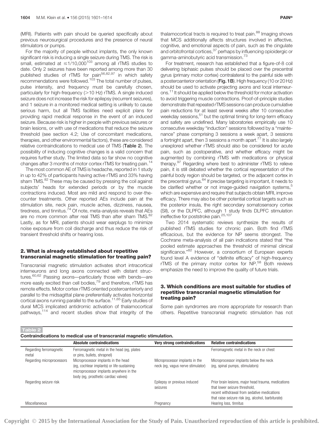(MRI). Patients with pain should be queried specifically about previous neurosurgical procedures and the presence of neural stimulators or pumps.

For the majority of people without implants, the only known significant risk is inducing a single seizure during TMS. The risk is small, estimated at  $\leq 1/10,000^{103}$  among all rTMS studies to date. Only 2 seizures have been reported among more than 30 published studies of rTMS for pain<sup>56,82,97</sup> in which safety recommendations were followed.<sup>103</sup> The total number of pulses, pulse intensity, and frequency must be carefully chosen, particularly for high-frequency  $(>10$  Hz) rTMS. A single induced seizure does not increase the risk for epilepsy (recurrent seizures), and 1 seizure in a monitored medical setting is unlikely to cause serious harm, but all TMS facilities need explicit plans for providing rapid medical response in the event of an induced seizure. Because risk is higher in people with previous seizures or brain lesions, or with use of medications that reduce the seizure threshold (see section 4.2; Use of concomitant medications, therapies, and other environmental factors), these are considered relative contraindications to medical use of TMS (Table 2). The possibility of inducing cognitive changes is a valid concern that requires further study. The limited data so far show no cognitive changes after 3 months of motor cortex rTMS for treating pain.<sup>14</sup>

The most common AE of TMS is headache, reported in 1 study in up to 42% of participants having active rTMS and 33% having sham TMS.<sup>82</sup> These may be caused by pressing the coil against subjects' heads for extended periods or by the muscle contractions induced. Most are mild and respond to over-thecounter treatments. Other reported AEs include pain at the stimulation site, neck pain, muscle aches, dizziness, nausea, tiredness, and tinnitus.<sup>74</sup> Of note, meta-analysis reveals that AEs are no more common after real TMS than after sham TMS.<sup>82</sup> Lastly, as for MRI, patients should wear earplugs to minimize noise exposure from coil discharge and thus reduce the risk of transient threshold shifts or hearing loss.

#### 2. What is already established about repetitive transcranial magnetic stimulation for treating pain?

Transcranial magnetic stimulation activates short intracortical interneurons and long axons connected with distant structures.<sup>60,62</sup> Passing axons—particularly those with bends—are more easily excited than cell bodies,<sup>79</sup> and therefore, rTMS has remote effects. Motor cortex rTMS oriented posteroanteriorly and parallel to the midsagittal plane preferentially activates horizontal cortical axons running parallel to the surface.<sup>11,65</sup> Early studies of dural MCS implicated antidromic activation of thalamocortical pathways,<sup>114</sup> and recent studies show that integrity of the

thalamocortical tracts is required to treat pain.<sup>88</sup> Imaging shows that MCS additionally affects structures involved in affective, cognitive, and emotional aspects of pain, such as the cingulate and orbitofrontal cortices, <sup>37</sup> perhaps by influencing opioidergic or gamma-aminobutyric acid transmission.<sup>73</sup>

For treatment, research has established that a figure-of-8 coil delivering biphasic pulses should be placed over the precentral gyrus (primary motor cortex) contralateral to the painful side with a posteroanterior orientation (Fig. 1B). High frequency (10 or 20 Hz) should be used to activate projecting axons and local interneurons.11 It should be applied below the threshold for motor activation to avoid triggering muscle contractions. Proof-of-principle studies demonstrate that repeated rTMS sessions can produce cumulative pain reductions for at least several weeks after 10 consecutive weekday sessions,<sup>51</sup> but the optimal timing for long-term efficacy and safety are undefined. Many laboratories empirically use 10 consecutive weekday "induction" sessions followed by a "maintenance" phase comprising 3 sessions a week apart, 3 sessions a fortnight apart, then 3 sessions a month apart.<sup>77</sup> It is also largely unexplored whether rTMS should also be considered for acute pain, such as postoperative, and whether efficacy might be augmented by combining rTMS with medications or physical therapy.<sup>97</sup> Regarding where best to administer rTMS to relieve pain, it is still debated whether the cortical representation of the painful body region should be targeted, or the adjacent cortex in the precentral gyrus.64 If precise targeting is important, it needs to be clarified whether or not image-guided navigation systems, $5$ which are expensive and require that subjects obtain MRI, improve efficacy. There may also be other potential cortical targets such as the posterior insula, the right secondary somatosensory cortex (SII), or the DLPFC, although 1 study finds DLPFC stimulation ineffective for poststroke pain.<sup>25,107</sup>

Two 2014 systematic reviews synthesize the results of published rTMS studies for chronic pain. Both find rTMS efficacious, but the evidence for NP seems strongest. The Cochrane meta-analysis of all pain indications stated that "the pooled estimate approaches the threshold of minimal clinical significance."<sup>82</sup> However, a consortium of European experts found level A evidence of "definite efficacy" of high-frequency rTMS of the primary motor cortex for NP.58 Both reviews emphasize the need to improve the quality of future trials.

#### 3. Which conditions are most suitable for studies of repetitive transcranial magnetic stimulation for treating pain?

Some pain syndromes are more appropriate for research than others. Repetitive transcranial magnetic stimulation has not

Table 2

| Contraindications to medical use of transcranial magnetic stimulation. |                                                                                                                                                                      |                                                                     |                                                                                                                                                                                           |  |  |  |  |  |
|------------------------------------------------------------------------|----------------------------------------------------------------------------------------------------------------------------------------------------------------------|---------------------------------------------------------------------|-------------------------------------------------------------------------------------------------------------------------------------------------------------------------------------------|--|--|--|--|--|
|                                                                        | <b>Absolute contraindications</b>                                                                                                                                    | Very strong contraindications                                       | <b>Relative contraindications</b>                                                                                                                                                         |  |  |  |  |  |
| Regarding ferromagnetic<br>metal                                       | Ferromagnetic metal in the head (eq. plates)<br>or pins, bullets, shrapnel)                                                                                          |                                                                     | Ferromagnetic metal in the neck or chest                                                                                                                                                  |  |  |  |  |  |
| Regarding microprocessors                                              | Microprocessor implants in the head<br>(eg, cochlear implants) or life-sustaining<br>microprocessor implants anywhere in the<br>body (eq. prosthetic cardiac valves) | Microprocessor implants in the<br>neck (eg, vagus nerve stimulator) | Microprocessor implants below the neck<br>(eg, spinal pumps, stimulators)                                                                                                                 |  |  |  |  |  |
| Regarding seizure risk                                                 |                                                                                                                                                                      | Epilepsy or previous induced<br>seizures                            | Prior brain lesions, major head trauma, medications<br>that lower seizure threshold,<br>recent withdrawal from sedative medications<br>that raise seizure risk (eq. alcohol, barbiturate) |  |  |  |  |  |
| <b>Miscellaneous</b>                                                   |                                                                                                                                                                      | Pregnancy                                                           | Hearing loss, tinnitus                                                                                                                                                                    |  |  |  |  |  |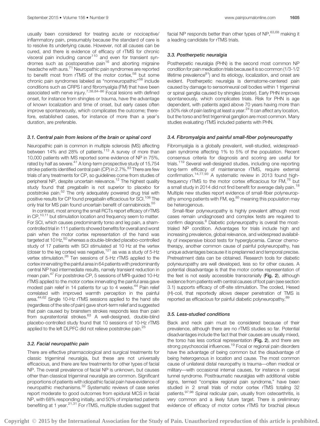usually been considered for treating acute or nociceptive/ inflammatory pain, presumably because the standard of care is to resolve its underlying cause. However, not all causes can be cured, and there is evidence of efficacy of rTMS for chronic visceral pain including cancer<sup>110</sup> and even for transient syndromes such as postoperative pain $16$  and aborting migraine headache with aura.<sup>71</sup> Neuropathic pain syndromes are reported to benefit most from rTMS of the motor cortex,<sup>58</sup> but some chronic pain syndromes labeled as "nonneuropathic"<sup>58</sup> include conditions such as CRPS I and fibromyalgia (FM) that have been associated with nerve injury.<sup>7,38,84–86</sup> Focal lesions with defined onset, for instance from shingles or trauma, have the advantage of known localization and time of onset, but early cases often improve spontaneously, which complicates the outcome; therefore, established cases, for instance of more than a year's duration, are preferable.

#### 3.1. Central pain from lesions of the brain or spinal cord

Neuropathic pain is common in multiple sclerosis (MS) affecting between 14% and 28% of patients.<sup>113</sup> A survey of more than 10,000 patients with MS reported some evidence of NP in 75%, rated by half as severe.<sup>41</sup> A long-term prospective study of 15,754 stroke patients identified central pain (CP) in 2.7%.<sup>83</sup> There are few trials of any treatments for CP, so guidelines come from studies of peripheral NP, despite uncertain relevance.<sup>12</sup> The highest quality study found that pregabalin is not superior to placebo for poststroke pain.52 The only adequately powered drug trial with positive results for CP found pregabalin efficacious for SCI.<sup>108</sup> The only trial for MS pain found uncertain benefit of cannabinoids.<sup>55</sup>

In contrast, most among the small RCTs report efficacy of rTMS in CP,  $10,11$  but stimulation location and frequency seem to matter. For SCI, which causes predominantly torso and leg pain, a shamcontrolled trial in 111 patients showed benefits for overall and worst pain when the motor cortex representation of the hand was targeted at 10 Hz,<sup>50</sup> whereas a double-blinded placebo-controlled study of 17 patients with SCI stimulated at 10 Hz at the vertex (closer to the leg cortex) was negative, $121$  as was a study of 5-Hz vertex stimulation.26 Ten sessions of 5-Hz rTMS applied to the cortex innervating the painful area in 64 patients with predominantly central NP had intermediate results, namely transient reduction in mean pain.47 For poststroke CP, 5 sessions of MRI-guided 10-Hz rTMS applied to the motor cortex innervating the painful area gave modest pain relief in 14 patients for up to 4 weeks.<sup>44</sup> Pain relief correlated with improved warmth perception in the painful area.<sup>44,62</sup> Single 10-Hz rTMS sessions applied to the hand site (regardless of the site of pain) gave short-term relief and suggested that pain caused by brainstem strokes responds less than pain from supratentorial strokes.<sup>63</sup> A well-designed, double-blind placebo-controlled study found that 10 sessions of 10-Hz rTMS applied to the left DLPFC did not relieve poststroke pain.<sup>25</sup>

#### 3.2. Facial neuropathic pain

There are effective pharmacological and surgical treatments for classic trigeminal neuralgia, but these are not universally efficacious, and there are few treatments for other types of facial NP. The overall prevalence of facial NP is unknown, but causes other than classical trigeminal neuralgia are common. Significant proportions of patients with idiopathic facial pain have evidence of neuropathic mechanisms.<sup>32</sup> Systematic reviews of case series report moderate to good outcomes from epidural MCS in facial NP, with 68% responding initially, and 50% of implanted patients benefiting at 1 year.<sup>21,31</sup> For rTMS, multiple studies suggest that facial NP responds better than other types of NP, 63,68 making it a leading candidate for rTMS trials.

#### 3.3. Postherpetic neuralgia

Postherpetic neuralgia (PHN) is the second most common NP condition for pain medication trials because it is so common (1/3-1/2 lifetime prevalence $91$ ) and its etiology, localization, and onset are evident. Postherpetic neuralgia is dermatome-centered pain caused by damage to sensorineural cell bodies within 1 trigeminal or spinal ganglia caused by shingles (zoster). Early PHN improves spontaneously, which complicates trials. Risk for PHN is age dependent, with patients aged above 70 years having more than  $a$  50% risk of pain lasting at least a year.  $24$  It can affect any location, but the torso and first trigeminal ganglion are most common. Many studies evaluating rTMS included patients with PHN.

#### 3.4. Fibromyalgia and painful small-fiber polyneuropathy

Fibromyalgia is a globally prevalent, well-studied, widespreadpain syndrome affecting 1% to 5% of the population. Recent consensus criteria for diagnosis and scoring are useful for trials.<sup>119</sup> Several well-designed studies, including one reporting long-term efficacy of maintenance rTMS, require external confirmation.<sup>14,77,93</sup> A systematic review in 2013 found highfrequency rTMS to the motor cortex efficacious for  $FM<sub>1</sub><sup>76</sup>$  but a small study in 2014 did not find benefit for average daily pain.<sup>18</sup> Multiple new studies report evidence of small-fiber polyneuropathy among patients with FM, eg, <sup>85</sup> meaning this population may be heterogenous.

Small-fiber polyneuropathy is highly prevalent although most cases remain undiagnosed and complex tests are required to confirm diagnosis.<sup>8</sup> Diabetic polyneuropathy is overall the mosttrialed NP condition. Advantages for trials include high and increasing prevalence, global relevance, and widespread availability of inexpensive blood tests for hyperglycemia. Cancer chemotherapy, another common cause of painful polyneuropathy, has unique advantages because it is preplanned and temporal precise. Pretreatment data can be obtained. Research tools for diabetic polyneuropathy are well developed, less so for other causes. A potential disadvantage is that the motor cortex representation of the feet is not easily accessible transcranially (Fig. 2), although evidence from patients with central causes of foot pain (see section 3.1) supports efficacy of off-site stimulation. The cooled, Hesed (H)-coil, that reportedly allows deeper penetration of TMS is reported as efficacious for painful diabetic polyneuropathy.<sup>89</sup>

#### 3.5. Less-studied conditions

Back and neck pain must be considered because of their prevalence, although there are no rTMS studies so far. Potential disadvantages include the fact that their causes are usually mixed, the torso has less cortical representation (**Fig. 2**), and there are<br>strong psychosocial influences.<sup>19</sup> Focal or regional pain disorders have the advantage of being common but the disadvantage of being heterogenous in location and cause. The most common cause of unilateral distal neuropathy is trauma—often medical or military—with occasional internal causes, for instance in carpal tunnel syndrome. Posttraumatic neuralgias with additional visible signs, termed "complex regional pain syndrome," have been studied in 2 small trials of motor cortex rTMS totaling 32 patients.<sup>97,98</sup> Spinal radicular pain, usually from osteoarthritis, is very common and a likely future target. There is preliminary evidence of efficacy of motor cortex rTMS for brachial plexus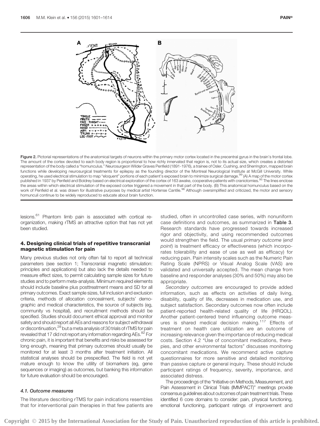

Figure 2. Pictorial representations of the anatomical targets of neurons within the primary motor cortex located in the precentral gyrus in the brain's frontal lobe. The amount of the cortex devoted to each body region is proportional to how richly innervated that region is, not to its actual size, which creates a distorted representation of the body called a "homunculus." Neurosurgeon Wilder Graves Penfield (1891-1976), a trainee of Osler, Cushing, and Sherrington, mapped brain functions while developing neurosurgical treatments for epilepsy as the founding director of the Montreal Neurological Institute at McGill University. While operating, he used electrical stimulation to map "eloquent" portions of each patient's exposed brain to minimize surgical damage.<sup>99</sup> (A) A map of the motor cortex published in 1937 by Penfield and Boldrey based on electrical exploration of the cortex of 163 awake, cooperative patients with craniotomies.<sup>95</sup> The lines enclose the areas within which electrical stimulation of the exposed cortex triggered a movement in that part of the body. (B) This anatomical homunculus based on the work of Penfield et al. was drawn for illustrative purposes by medical artist Hortense Cantile.<sup>96</sup> Although oversimplified and criticized, the motor and sensory homunculi continue to be widely reproduced to educate about brain function.

lesions.<sup>61</sup> Phantom limb pain is associated with cortical reorganization, making rTMS an attractive option that has not yet been studied.

#### 4. Designing clinical trials of repetitive transcranial magnetic stimulation for pain

Many previous studies not only often fail to report all technical parameters (see section 1; Transcranial magnetic stimulation: principles and applications) but also lack the details needed to measure effect sizes, to permit calculating sample sizes for future studies and to perform meta-analysis. Minimum required elements should include baseline plus posttreatment means and SD for all primary outcomes. Exact sample sizes, full inclusion and exclusion criteria, methods of allocation concealment, subjects' demographic and medical characteristics, the source of subjects (eg, community vs hospital), and recruitment methods should be specified. Studies should document ethical approval and monitor safety and should report all AEs and reasons for subject withdrawal or discontinuation, $^{28}$  but a meta analysis of 30 trials of rTMS for pain revealed that 17 did not report any information regarding AEs.<sup>82</sup> For chronic pain, it is important that benefits and risks be assessed for long enough, meaning that primary outcomes should usually be monitored for at least 3 months after treatment initiation. All statistical analyses should be prespecified. The field is not yet mature enough to know the utility of biomarkers (eg, gene sequences or imaging) as outcomes, but banking this information for future evaluation should be encouraged.

#### 4.1. Outcome measures

The literature describing rTMS for pain indications resembles that for interventional pain therapies in that few patients are studied, often in uncontrolled case series, with nonuniform case definitions and outcomes, as summarized in Table 3. Research standards have progressed towards increased rigor and objectivity, and using recommended outcomes would strengthen the field. The usual primary outcome (end point) is treatment efficacy or effectiveness (which incorporates tolerability and ease of use as well as efficacy) for reducing pain. Pain intensity scales such as the Numeric Pain Rating Scale (NPRS) or Visual Analog Scale (VAS) are validated and universally accepted. The mean change from baseline and responder analyses (30% and 50%) may also be appropriate.

Secondary outcomes are encouraged to provide added information, such as effects on activities of daily living, disability, quality of life, decreases in medication use, and subject satisfaction. Secondary outcomes now often include patient-reported health-related quality of life (HRQOL). Another patient-centered trend influencing outcome measures is shared medical decision making.<sup>117</sup> Effects of treatment on health care utilization are an outcome of increasing relevance given the importance of reducing medical costs. Section 4.2 "Use of concomitant medications, therapies, and other environmental factors" discusses monitoring concomitant medications. We recommend active capture questionnaires for more sensitive and detailed monitoring than passive capture or general inquiry. These should include participant ratings of frequency, severity, importance, and associated distress.

The proceedings of the "Initiative on Methods, Measurement, and Pain Assessment in Clinical Trials (IMMPACT)" meetings provide consensus guidelines about outcomes of pain treatment trials. These identified 6 core domains to consider: pain, physical functioning, emotional functioning, participant ratings of improvement and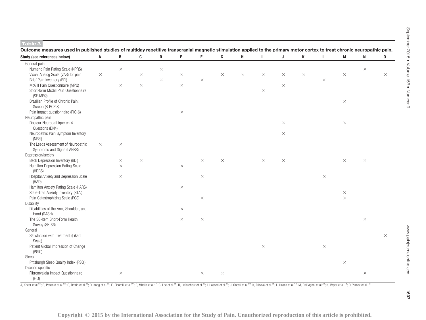| Table 3<br>Outcome measures used in published studies of multiday repetitive transcranial magnetic stimulation applied to the primary motor cortex to treat chronic neuropathic pain. |          |          |          |          |                |          |          |          |          |          |          |          |          |          |          |
|---------------------------------------------------------------------------------------------------------------------------------------------------------------------------------------|----------|----------|----------|----------|----------------|----------|----------|----------|----------|----------|----------|----------|----------|----------|----------|
| Study (see references below)                                                                                                                                                          | Α        | B        | C        | D        | $\overline{E}$ | F.       | G        | Н.       | L.       | J        | K        | L.       | M        | N        | $\bf{0}$ |
| General pain                                                                                                                                                                          |          |          |          |          |                |          |          |          |          |          |          |          |          |          |          |
| Numeric Pain Rating Scale (NPRS)                                                                                                                                                      |          | $\times$ |          | $\times$ |                |          |          |          |          |          |          |          |          | $\times$ |          |
| Visual Analog Scale (VAS) for pain                                                                                                                                                    | $\times$ |          | $\times$ |          | $\times$       |          | $\times$ | $\times$ | $\times$ | $\times$ | $\times$ |          | $\times$ |          | $\times$ |
| Brief Pain Inventory (BPI)                                                                                                                                                            |          |          |          | $\times$ |                | $\times$ |          |          |          |          |          | $\times$ |          |          |          |
| McGill Pain Questionnaire (MPQ)                                                                                                                                                       |          | $\times$ | $\times$ |          | $\times$       |          |          |          |          | $\times$ |          |          |          |          |          |
| Short-form McGill Pain Questionnaire                                                                                                                                                  |          |          |          |          |                |          |          |          | $\times$ |          |          |          |          |          |          |
| (SF-MPQ)                                                                                                                                                                              |          |          |          |          |                |          |          |          |          |          |          |          |          |          |          |
| Brazilian Profile of Chronic Pain:                                                                                                                                                    |          |          |          |          |                |          |          |          |          |          |          |          | $\times$ |          |          |
| Screen (B-PCP:S)                                                                                                                                                                      |          |          |          |          |                |          |          |          |          |          |          |          |          |          |          |
| Pain Impact questionnaire (PIQ-6)                                                                                                                                                     |          |          |          |          | $\times$       |          |          |          |          |          |          |          |          |          |          |
| Neuropathic pain                                                                                                                                                                      |          |          |          |          |                |          |          |          |          |          |          |          |          |          |          |
| Douleur Neuropathique en 4                                                                                                                                                            |          |          |          |          |                |          |          |          |          | $\times$ |          |          | $\times$ |          |          |
| Questions (DN4)                                                                                                                                                                       |          |          |          |          |                |          |          |          |          |          |          |          |          |          |          |
| Neuropathic Pain Symptom Inventory<br>(NPSI)                                                                                                                                          |          |          |          |          |                |          |          |          |          | $\times$ |          |          |          |          |          |
| The Leeds Assessment of Neuropathic                                                                                                                                                   | $\times$ | $\times$ |          |          |                |          |          |          |          |          |          |          |          |          |          |
| Symptoms and Signs (LANSS)                                                                                                                                                            |          |          |          |          |                |          |          |          |          |          |          |          |          |          |          |
| Depression/anxiety                                                                                                                                                                    |          |          |          |          |                |          |          |          |          |          |          |          |          |          |          |
| Beck Depression Inventory (BDI)                                                                                                                                                       |          | $\times$ | $\times$ |          |                | $\times$ | $\times$ |          | $\times$ | $\times$ |          |          | $\times$ | $\times$ |          |
| Hamilton Depression Rating Scale                                                                                                                                                      |          | $\times$ |          |          | $\times$       |          |          |          |          |          |          |          |          |          |          |
| (HDRS)                                                                                                                                                                                |          |          |          |          |                |          |          |          |          |          |          |          |          |          |          |
| Hospital Anxiety and Depression Scale                                                                                                                                                 |          | $\times$ |          |          |                | $\times$ |          |          |          |          |          | $\times$ |          |          |          |
| (HAD)                                                                                                                                                                                 |          |          |          |          |                |          |          |          |          |          |          |          |          |          |          |
| Hamilton Anxiety Rating Scale (HARS)                                                                                                                                                  |          |          |          |          | $\times$       |          |          |          |          |          |          |          |          |          |          |
| State-Trait Anxiety Inventory (STAI)                                                                                                                                                  |          |          |          |          |                |          |          |          |          |          |          |          | $\times$ |          |          |
| Pain Catastrophizing Scale (PCS)                                                                                                                                                      |          |          |          |          |                | $\times$ |          |          |          |          |          |          | $\times$ |          |          |
| Disability                                                                                                                                                                            |          |          |          |          |                |          |          |          |          |          |          |          |          |          |          |
| Disabilities of the Arm, Shoulder, and<br>Hand (DASH)                                                                                                                                 |          |          |          |          | $\times$       |          |          |          |          |          |          |          |          |          |          |
| The 36-Item Short-Form Health                                                                                                                                                         |          |          |          |          | $\times$       | $\times$ |          |          |          |          |          |          |          | $\times$ |          |
| Survey (SF-36)                                                                                                                                                                        |          |          |          |          |                |          |          |          |          |          |          |          |          |          |          |
| General                                                                                                                                                                               |          |          |          |          |                |          |          |          |          |          |          |          |          |          |          |
| Satisfaction with treatment (Likert                                                                                                                                                   |          |          |          |          |                |          |          |          |          |          |          |          |          |          | $\times$ |
| Scale)                                                                                                                                                                                |          |          |          |          |                |          |          |          |          |          |          |          |          |          |          |
| Patient Global Impression of Change<br>(PGIC)                                                                                                                                         |          |          |          |          |                |          |          |          | $\times$ |          |          | $\times$ |          |          |          |
| Sleep                                                                                                                                                                                 |          |          |          |          |                |          |          |          |          |          |          |          |          |          |          |
| Pittsburgh Sleep Quality Index (PSQI)                                                                                                                                                 |          |          |          |          |                |          |          |          |          |          |          |          | $\times$ |          |          |
| Disease specific                                                                                                                                                                      |          |          |          |          |                |          |          |          |          |          |          |          |          |          |          |
| Fibromyalgia Impact Questionnaire                                                                                                                                                     |          | $\times$ |          |          |                | $\times$ | $\times$ |          |          |          |          |          |          | $\times$ |          |
| (FIQ)                                                                                                                                                                                 |          |          |          |          |                |          |          |          |          |          |          |          |          |          |          |

A, Khedr et al.<sup>51</sup>; B, Passard et al.<sup>93</sup>; C, Defrin et al.<sup>26</sup>; D, Kang et al.<sup>50</sup>; E, Picarelli et al.<sup>97</sup>; F, Mhalla et al.<sup>77</sup>; G, Lee et al.<sup>56</sup>; H, Lefaucheur et al.<sup>59</sup>; I, Hosomi et al.<sup>47</sup>; J, Onesti et al.<sup>89</sup>;

1607

www.painjournalonline.com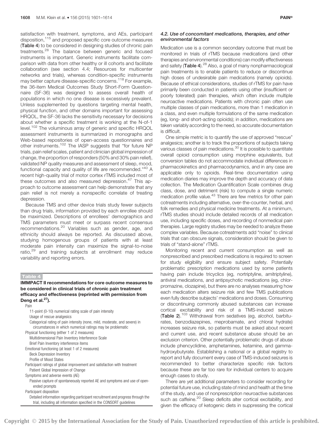satisfaction with treatment, symptoms, and AEs, participant disposition,<sup>115</sup> and proposed specific core outcome measures (Table 4) to be considered in designing studies of chronic pain treatments.<sup>28</sup> The balance between generic and focused instruments is important. Generic instruments facilitate comparison with data from other healthy or ill cohorts and facilitate collaboration (see section 4.4; Resources for multicenter networks and trials), whereas condition-specific instruments may better capture disease-specific concerns.<sup>118</sup> For example, the 36-item Medical Outcomes Study Short-Form Questionnaire (SF-36) was designed to assess overall health of populations in which no one disease is excessively prevalent. Unless supplemented by questions targeting mental health, physical function, and other domains important for assessing HRQOL, the SF-36 lacks the sensitivity necessary for decisions about whether a specific treatment is working at the N-of-1 level.<sup>102</sup> The voluminous array of generic and specific HRQOL assessment instruments is summarized in monographs and Web-based repositories of open-access questionnaires and other instruments.<sup>102</sup> The IASP suggests that "for future NP trials, pain relief scales, patient and clinician global impression of change, the proportion of responders (50% and 30% pain relief), validated NP quality measures and assessment of sleep, mood, functional capacity and quality of life are recommended."<sup>40</sup> A recent high-quality trial of motor cortex rTMS included most of these outcomes and also measured depression.<sup>47</sup> This approach to outcome assessment can help demonstrate that any pain relief is not merely a nonspecific correlate of treating depression.

Because TMS and other device trials study fewer subjects than drug trials, information provided by each enrollee should be maximized. Descriptions of enrollees' demographics and TMS parameters must meet or surpass recent consensus recommendations.<sup>20</sup> Variables such as gender, age, and ethnicity should always be reported. As discussed above, studying homogenous groups of patients with at least moderate pain intensity can maximize the signal-to-noise ratio, $29$  and training subjects at enrollment may reduce variability and reporting errors.

#### Table 4

IMMPACT II recommendations for core outcome measures to be considered in clinical trials of chronic pain treatment efficacy and effectiveness (reprinted with permission from Deng et al. $27$ ).

| Pain                                          |                                                                                                                                           |
|-----------------------------------------------|-------------------------------------------------------------------------------------------------------------------------------------------|
|                                               | 11-point (0-10) numerical rating scale of pain intensity                                                                                  |
| Usage of rescue analgesics                    |                                                                                                                                           |
|                                               | Categorical rating of pain intensity (none, mild, moderate, and severe) in<br>circumstances in which numerical ratings may be problematic |
| Physical functioning (either 1 of 2 measures) |                                                                                                                                           |
|                                               | Multidimensional Pain Inventory Interference Scale                                                                                        |
| Brief Pain Inventory interference items       |                                                                                                                                           |
|                                               | Emotional functioning (at least 1 of 2 measures)                                                                                          |
| <b>Beck Depression Inventory</b>              |                                                                                                                                           |
| Profile of Mood States                        |                                                                                                                                           |
|                                               | Participant ratings of global improvement and satisfaction with treatment                                                                 |
| Patient Global Impression of Change           |                                                                                                                                           |
| Symptoms and adverse events (AE)              |                                                                                                                                           |
| ended prompts                                 | Passive capture of spontaneously reported AE and symptoms and use of open-                                                                |
| Participant disposition                       |                                                                                                                                           |
|                                               | Detailed information regarding participant recruitment and progress through the                                                           |
|                                               | trial, including all information specified in the CONSORT quidelines                                                                      |
|                                               |                                                                                                                                           |

#### 4.2. Use of concomitant medications, therapies, and other environmental factors

Medication use is a common secondary outcome that must be monitored in trials of rTMS because medications (and other therapies and environmental conditions) can modify effectiveness and safety (Table 4).<sup>28</sup> Also, a goal of many nonpharmacological pain treatments is to enable patients to reduce or discontinue high doses of undesirable pain medications (namely opioids). Because of ethical considerations, studies of rTMS for pain have primarily been conducted in patients using other (insufficient or poorly tolerated) pain therapies, which often include multiple neuroactive medications. Patients with chronic pain often use multiple classes of pain medications, more than 1 medication in a class, and even multiple formulations of the same medication (eg, long- and short-acting opioids); in addition, medications are taken variably according to the need, so accurate documentation is difficult.

One simple metric is to quantify the use of approved "rescue" analgesics; another is to track the proportions of subjects taking various classes of pain medications.<sup>30</sup> It is possible to quantitate overall opioid consumption using morphine equivalents, but conversion tables do not accommodate individual differences in pharmacokinetics and pharmacodynamics, and in any case are applicable only to opioids. Real-time documentation using medication diaries may improve the depth and accuracy of data collection. The Medication Quantification Scale combines drug class, dose, and detriment (risk) to compute a single numeric medication profile value.<sup>43</sup> There are few metrics for other pain cotreatments including alternative, over-the-counter, herbal, and folk remedies and physical medicine treatments. At a minimum, rTMS studies should include detailed records of all medication use, including specific doses, and recording of nonmedical pain therapies. Large registry studies may be needed to analyze these complex variables. Because cotreatments add "noise" to clinical trials that can obscure signals, consideration should be given to trials of "stand-alone" rTMS.

Monitoring recent and current consumption as well as nonprescribed and prescribed medications is required to screen for study eligibility and ensure subject safety. Potentially problematic prescription medications used by some patients having pain include tricyclics (eg, nortriptyline, amitriptyline), antiviral medications, and antipsychotic medications (eg, chlorpromazine, clozapine), but there are no analyses measuring how each medication alters seizure risk and few TMS publications even fully describe subjects' medications and doses. Consuming or discontinuing commonly abused substances can increase cortical excitability and risk of a TMS-induced seizure (Table 2).<sup>103</sup> Withdrawal from sedatives (eg, alcohol, barbiturates, benzodiazepines, meprobamate, and chloral hydrate) increases seizure risk, so patients must be asked about recent and current use, and recent substance abuse should be an exclusion criterion. Other potentially problematic drugs of abuse include phencyclidine, amphetamines, ketamine, and gammahydroxybutyrate. Establishing a national or a global registry to report and fully document every case of TMS-induced seizures is recommended to better characterize specific risk factors because these are far too rare for individual centers to acquire enough cases to study.

There are yet additional parameters to consider recording for potential future use, including state of mind and health at the time of the study, and use of nonprescription neuroactive substances such as caffeine.<sup>20</sup> Sleep deficits alter cortical excitability, and given the efficacy of ketogenic diets in suppressing the cortical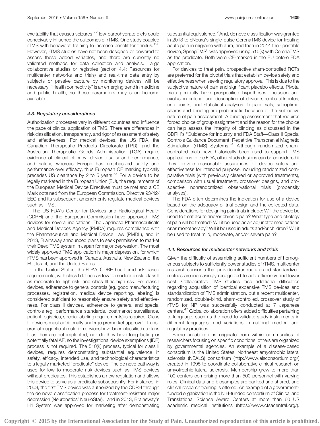excitability that causes seizures, $72$  low-carbohydrate diets could conceivably influence the outcomes of rTMS. One study coupled rTMS with behavioral training to increase benefit for tinnitus.<sup>120</sup> However, rTMS studies have not been designed or powered to assess these added variables, and there are currently no validated methods for data collection and analysis. Large collaborative studies or registries (section 4.4; Resources for multicenter networks and trials) and real-time data entry by subjects or passive capture by monitoring devices will be necessary. "Health connectivity" is an emerging trend in medicine and public health, so these parameters may soon become available.

#### 4.3. Regulatory considerations

Authorization processes vary in different countries and influence the pace of clinical application of TMS. There are differences in risk classification, transparency, and rigor of assessment of safety and effectiveness. For medical devices, the US FDA, the Canadian Therapeutic Products Directorate (TPD), and the Australian Therapeutic Goods Administration (TGA) require evidence of clinical efficacy, device quality and performance, and safety, whereas Europe has emphasized safety and performance over efficacy, thus European CE marking typically precedes US clearance by 2 to 5 years. $54$  For a device to be legally marketed in the European Union (EU), the requirements of the European Medical Device Directives must be met and a CE Mark obtained from the European Commission. Directive 93/42/ EEC and its subsequent amendments regulate medical devices such as TMS.

The US FDA's Center for Devices and Radiological Health (CDRH) and the European Commission have approved TMS devices for several indications. The Japanese Pharmaceuticals and Medical Devices Agency (PMDA) requires compliance with the Pharmaceutical and Medical Device Law (PMDL), and in 2013, Brainsway announced plans to seek permission to market their Deep TMS system in Japan for major depression. The most widely approved TMS application is major depression, for which rTMS has been approved in Canada, Australia, New Zealand, the EU, Israel, and the United States.

In the United States, the FDA's CDRH has tiered risk-based requirements, with class I defined as low to moderate risk, class II as moderate to high risk, and class III as high risk. For class I devices, adherence to general controls (eg, good manufacturing processes, registration, medical device reporting, labeling) is considered sufficient to reasonably ensure safety and effectiveness. For class II devices, adherence to general and special controls (eg, performance standards, postmarket surveillance, patient registries, special labeling requirements) is required. Class III devices must additionally undergo premarket approval. Transcranial magnetic stimulation devices have been classified as class II as they are not implanted, nor do they have long-lasting or potentially fatal AE, so the investigational device exemptions (IDE) process is not required. The 510(k) process, typical for class II devices, requires demonstrating substantial equivalence in safety, efficacy, intended use, and technological characteristics to a legally marketed "predicate" device. The de novo pathway is used for low to moderate risk devices such as TMS devices without predicates. This establishes a new regulation and allows this device to serve as a predicate subsequently. For instance, in 2008, the first TMS device was authorized by the CDRH through the de novo classification process for treatment-resistant major depression (Neuronetics' NeuroStar),<sup>1</sup> and in 2013, Brainsway's H1 System was approved for marketing after demonstrating substantial equivalence.<sup>2</sup> And, de novo classification was granted in 2013 to eNeura's single-pulse CerenaTMS device for treating acute pain in migraine with aura; and then in 2014 their portable device, Spring $TMS<sup>3</sup>$  was approved using  $510(k)$  with CerenaTMS as the predicate. Both were CE-marked in the EU before FDA application.

For devices to treat pain, prospective sham-controlled RCTs are preferred for the pivotal trials that establish device safety and effectiveness when seeking regulatory approval. This is due to the subjective nature of pain and significant placebo effects. Pivotal trials generally have prespecified hypotheses, inclusion and exclusion criteria, and description of device-specific attributes, end points, and statistical analyses. In pain trials, suboptimal shams and blinding are problematic because of the subjective nature of pain assessment. A blinding assessment that requires forced choice of group assignment and the reason for the choice can help assess the integrity of blinding as discussed in the CDRH's "Guidance for Industry and FDA Staff—Class II Special Controls Guidance Document: Repetitive Transcranial Magnetic Stimulation (rTMS) Systems."<sup>4</sup> Although randomized shamcontrolled trials have historically been used to support TMS applications to the FDA, other study designs can be considered if they provide reasonable assurances of device safety and effectiveness for intended purpose, including randomized comparative trials (with previously cleared or approved treatments), comparison with usual treatment, crossover designs, and prospective nonrandomized observational trials (propensity analyses).

The FDA often determines the indication for use of a device based on the adequacy of trial design and the collected data. Considerations for designing pain trials include: Will the device be used to treat acute and/or chronic pain? What type and etiology of pain will be treated? Will it be used as an adjunct to medications or as monotherapy? Will it be used in adults and/or children? Will it be used to treat mild, moderate, and/or severe pain?

#### 4.4. Resources for multicenter networks and trials

Given the difficulty of assembling sufficient numbers of homogenous subjects to sufficiently power studies of rTMS, multicenter research consortia that provide infrastructure and standardized metrics are increasingly recognized to add efficiency and lower cost. Collaborative TMS studies face additional difficulties regarding acquisition of identical expensive TMS devices and standardization of TMS administration, but a recent multicenter, randomized, double-blind, sham-controlled, crossover study of rTMS for NP was successfully conducted at 7 Japanese centers.<sup>47</sup> Global collaboration offers added difficulties pertaining to language, such as the need to validate study instruments in different languages, and variations in national medical and regulatory practices.

Some collaborations originate from within communities of researchers focusing on specific conditions, others are organized by governmental agencies. An example of a disease-based consortium is the United States' Northeast amyotrophic lateral sclerosis (NEALS) consortium (http://www.alsconsortium.org/) created in 1995 to coordinate collaborative clinical research on amyotrophic lateral sclerosis. Membership grew to more than 100 centers comprising more than 500 personnel with varying roles. Clinical data and biosamples are banked and shared, and clinical research training is offered. An example of a governmentfunded organization is the NIH-funded consortium of Clinical and Translational Science Award Centers at more than 60 US academic medical institutions (https://www.ctsacentral.org/).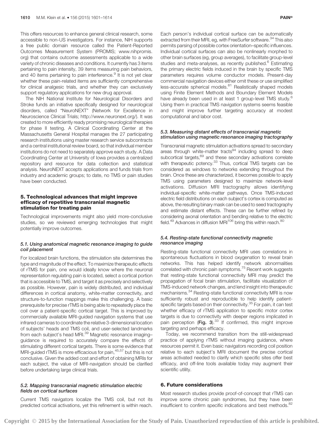This offers resources to enhance general clinical research, some accessible to non-US investigators. For instance, NIH supports a free public domain resource called the Patient-Reported Outcomes Measurement System (PROMIS; www.nihpromis. org) that contains outcome assessments applicable to a wide variety of chronic diseases and conditions. It currently has 3 items pertaining to pain intensity, 39 items measuring pain behaviors, and 40 items pertaining to pain interference.<sup>9</sup> It is not yet clear whether these pain-related items are sufficiently comprehensive for clinical analgesic trials, and whether they can exclusively support regulatory applications for new drug approval.

The NIH National Institute for Neurological Disorders and Stroke funds an initiative specifically designed for neurological disorders, called "NeuroNEXT" (Network for Excellence in Neuroscience Clinical Trials; http://www.neuronext.org/). It was created to more efficiently ready promising neurological therapies for phase II testing. A Clinical Coordinating Center at the Massachusetts General Hospital manages the 27 participating research institutions using master research service subcontracts and a central institutional review board, so that individual member institutions do not need to separately approve each study. A Data Coordinating Center at University of Iowa provides a centralized repository and resource for data collection and statistical analysis. NeuroNEXT accepts applications and funds trials from industry and academic groups; to date, no TMS or pain studies have been conducted.

#### 5. Technological advances that might improve efficacy of repetitive transcranial magnetic stimulation for treating pain

Technological improvements might also yield more-conclusive studies, so we reviewed emerging technologies that might potentially improve outcomes.

#### 5.1. Using anatomical magnetic resonance imaging to guide coil placement

For localized brain functions, the stimulation site determines the type and magnitude of the effect. To maximize therapeutic effects of rTMS for pain, one would ideally know where the neuronal representation regulating pain is located, select a cortical portion that is accessible to TMS, and target it as precisely and selectively as possible. However, pain is widely distributed, and individual differences in cortical anatomy, white-matter connectivity, and structure-to-function mappings make this challenging. A basic prerequisite for precise rTMS is being able to repeatedly place the coil over a patient-specific cortical target. This is improved by commercially available MRI-guided navigation systems that use infrared cameras to coordinate the relative 3-dimensional location of subjects' heads and TMS coil, and user-selected landmarks from each subject's head MRI.<sup>39</sup> Magnetic resonance imagingguidance is required to accurately compare the effects of stimulating different cortical targets. There is some evidence that MRI-guided rTMS is more efficacious for pain, <sup>45,57</sup> but this is not conclusive. Given the added cost and effort of obtaining MRIs for each subject, the value of MRI-navigation should be clarified before undertaking large clinical trials.

#### 5.2. Mapping transcranial magnetic stimulation electric fields on cortical surfaces

Current TMS navigators localize the TMS coil, but not its predicted cortical activations, yet this refinement is within reach. Each person's individual cortical surface can be automatically extracted from their MRI, eg, with FreeSurfer software.<sup>34</sup> This also permits parsing of possible cortex orientation–specific influences. Individual cortical surfaces can also be nonlinearly morphed to other brain surfaces (eg, group averages), to facilitate group-level studies and meta-analyses, as recently published.<sup>6</sup> Estimating the primary electric fields induced in the brain by specific TMS parameters requires volume conductor models. Present-day commercial navigation devices either omit these or use simplified less-accurate spherical models.<sup>81</sup> Realistically shaped models using Finite Element Methods and Boundary Element Models have already been used in at least 1 group-level TMS study.<sup>6</sup> Using them in practical TMS navigation systems seems feasible and might improve further targeting accuracy at modest computational and labor cost.

#### 5.3. Measuring distant effects of transcranial magnetic stimulation using magnetic resonance imaging tractography

Transcranial magnetic stimulation activations spread to secondary areas through white-matter tracts $94$  including spread to deep subcortical targets,<sup>69</sup> and these secondary activations correlate with therapeutic potency.<sup>33</sup> Thus, cortical TMS targets can be considered as windows to networks extending throughout the brain. Once these are characterized, it becomes possible to apply TMS using parameters designed to maximize network-level activations. Diffusion MRI tractography allows identifying individual-specific white-matter pathways. Once TMS-induced electric field distributions on each subject's cortex is computed as above, the resulting binary mask can be used to seed tractography and estimate distant effects. These can be further refined by considering axonal orientation and bending relative to the electric field.<sup>49</sup> Advances in diffusion MRI $106$  bring this within reach. $80$ 

#### 5.4. Resting-state functional connectivity magnetic resonance imaging

Resting-state functional connectivity MRI uses correlations in spontaneous fluctuations in blood oxygenation to reveal brain networks. This has helped identify network abnormalities correlated with chronic pain symptoms.<sup>75</sup> Recent work suggests that resting-state functional connectivity MRI may predict the propagation of focal brain stimulation, facilitate visualization of TMS-induced network changes, and lend insight into therapeutic mechanisms.<sup>34</sup> Resting-state functional connectivity MRI is now sufficiently robust and reproducible to help identify patientspecific targets based on their connectivity.<sup>35</sup> For pain, it can test whether efficacy of rTMS application to specific motor cortex targets is due to connectivity with deeper regions implicated in pain perception  $(Fig. 3)$ <sup>33</sup> If confirmed, this might improve targeting and perhaps efficacy.

Today, we recommend transition from the still-widespread practice of applying rTMS without imaging guidance, where resources permit it. Even basic navigators recording coil position relative to each subject's MRI document the precise cortical areas activated needed to clarify which specific sites offer best efficacy, and off-line tools available today may augment their scientific utility.

#### 6. Future considerations

Most research studies provide proof-of-concept that rTMS can improve some chronic pain syndromes, but they have been insufficient to confirm specific indications and best methods.<sup>82</sup>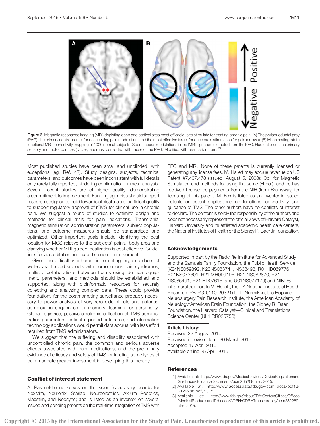

Figure 3. Magnetic resonance imaging (MRI) depicting deep and cortical sites most efficacious to stimulate for treating chronic pain. (A) The periaqueductal gray (PAG), the primary control center for descending pain modulation, and the most effective target for deep brain stimulation for pain (arrows). (B) Mean resting-state functional MRI connectivity mapping of 1000 normal subjects. Spontaneous modulations in the fMRI signal are extracted from the PAG. Fluctuations in the primary sensory and motor cortices (circles) are most correlated with those of the PAG. Modified with permission from.<sup>33</sup>

Most published studies have been small and unblinded, with exceptions (eg, Ref. 47). Study designs, subjects, technical parameters, and outcomes have been inconsistent with full details only rarely fully reported, hindering confirmation or meta-analysis. Several recent studies are of higher quality, demonstrating a commitment to improvement. Funding agencies should support research designed to build towards clinical trials of sufficient quality to support regulatory approval of rTMS for clinical use in chronic pain. We suggest a round of studies to optimize design and methods for clinical trials for pain indications. Transcranial magnetic stimulation administration parameters, subject populations, and outcome measures should be standardized and optimized. Other important goals include identifying the best location for MCS relative to the subjects' painful body area and clarifying whether MRI-guided localization is cost effective. Guidelines for accreditation and expertise need improvement.

Given the difficulties inherent in recruiting large numbers of well-characterized subjects with homogenous pain syndromes, multisite collaborations between teams using identical equipment, parameters, and methods should be established and supported, along with bioinformatic resources for securely collecting and analyzing complex data. These could provide foundations for the postmarketing surveillance probably necessary to power analysis of very rare side effects and potential complex consequences for memory, learning, or personality. Global registries, passive electronic collection of TMS administration parameters, patient-reported outcomes, and information technology applications would permit data accrual with less effort required from TMS administrators.

We suggest that the suffering and disability associated with uncontrolled chronic pain, the common and serious adverse effects associated with pain medications, and the preliminary evidence of efficacy and safety of TMS for treating some types of pain mandate greater investment in developing this therapy.

#### Conflict of interest statement

A. Pascual-Leone serves on the scientific advisory boards for Nexstim, Neuronix, Starlab, Neuroelectrics, Axilum Robotics, Magstim, and Neosync; and is listed as an inventor on several issued and pending patents on the real-time integration of TMS with EEG and MRI. None of these patents is currently licensed or generating any license fees. M. Hallett may accrue revenue on US Patent #7,407,478 (Issued: August 5, 2008): Coil for Magnetic Stimulation and methods for using the same (H-coil); and he has received license fee payments from the NIH (from Brainsway) for licensing of this patent. M. Fox is listed as an inventor in issued patents or patent applications on functional connectivity and guidance of TMS. The other authors have no conflicts of interest to declare. The content is solely the responsibility of the authors and does not necessarily represent the official views of Harvard Catalyst, Harvard University and its affiliated academic health care centers, the National Institutes of Health or the Sidney R. Baer Jr Foundation.

#### Acknowledgements

Supported in part by the Radcliffe Institute for Advanced Study and the Samuels Family Foundation, the Public Health Service (K24NS059892, K23NS083741, NS38493, R01HD069776, R01NS073601, R21 MH099196, R21 NS082870, R21 NS085491, R21 HD07616, and U01NS077179) and NINDS intramural support to M. Hallett, the UK National Institute of Health Research (PB-PG-0110-20321) to T. Nurmikko, the Hopkins Neurosurgery Pain Research Institute, the American Academy of Neurology/American Brain Foundation, the Sidney R. Baer Foundation, the Harvard Catalyst—Clinical and Translational Science Center (UL1 RR025758).

Article history: Received 22 August 2014 Received in revised form 30 March 2015 Accepted 17 April 2015 Available online 25 April 2015

#### **References**

- [1] Available at: http://www.fda.gov/MedicalDevices/DeviceRegulationand Guidance/GuidanceDocuments/ucm265269.htm, 2015.
- [2] Available at: http://www.accessdata.fda.gov/cdrh\_docs/pdf12/ K122288.pdf, 2015.
- [3] Available at: http://www.fda.gov/AboutFDA/CentersOffices/Officeo fMedicalProductsandTobacco/CDRH/CDRHTransparency/ucm232269. htm, 2015.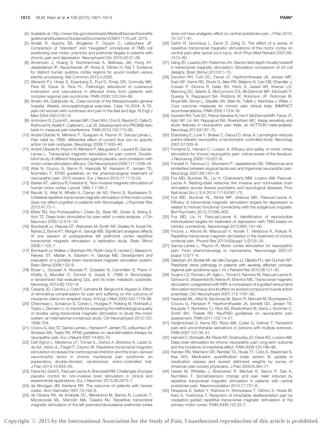- [4] Available at: http://www.fda.gov/downloads/MedicalDevices/DeviceRe gulationandGuidance/GuidanceDocuments/UCM311176.pdf, 2015.
- [5] Ahdab R, Ayache SS, Brugieres P, Goujon C, Lefaucheur JP. Comparison of "standard" and "navigated" procedures of TMS coil positioning over motor, premotor and prefrontal targets in patients with chronic pain and depression. Neurophysiol Clin 2010;40:27–36.
- [6] Ahveninen J, Huang S, Nummenmaa A, Belliveau JW, Hung AY, Jaaskelainen IP, Rauschecker JP, Rossi S, Tiitinen H, Raij T. Evidence for distinct human auditory cortex regions for sound location versus identity processing. Nat Commun 2013;4:2585.
- [7] Albrecht PJ, Hines S, Eisenberg E, Pud D, Finlay DR, Connolly MK, Pare M, Davar G, Rice FL. Pathologic alterations of cutaneous innervation and vasculature in affected limbs from patients with complex regional pain syndrome. PAIN 2006;120:244–66.
- [8] Amato AA, Oaklander AL. Case records of the Massachusetts general hospital. Weekly clinicopathological exercises. Case 16-2004. A 76 year-old woman with numbness and pain in the feet and legs. N Engl J Med 2004;350:2181–9.
- [9] Amtmann D, Cook KF, Jensen MP, Chen WH, Choi S, Revicki D, Cella D, Rothrock N, Keefe F, Callahan L, Lai JS. Development of a PROMIS item bank to measure pain interference. PAIN 2010;150:173–82.
- [10] André-Obadia N, Mertens P, Gueguen A, Peyron R, Garcia-Larrea L. Pain relief by rTMS: differential effect of current flow but no specific action on pain subtypes. Neurology 2008;71:833–40.
- [11] André-Obadia N, Peyron R, Mertens P, Mauguière F, Laurent B, Garcia-Larrea L. Transcranial magnetic stimulation for pain control. Doubleblind study of different frequencies against placebo, and correlation with motor cortex stimulation efficacy. Clin Neurophysiol 2006;117:1536–44.
- [12] Attal N, Cruccu G, Baron R, Haanpää M, Hansson P, Jensen TS, Nurmikko T. EFNS guidelines on the pharmacological treatment of neuropathic pain: 2010 revision. Eur J Neurol 2010;17:1113–23.
- [13] Barker AT, Jalinous R, Freeston IL. Non-invasive magnetic stimulation of human motor cortex. Lancet 1985;1:1106–7.
- [14] Baudic S, Attal N, Mhalla A, Ciampi de AD, Perrot S, Bouhassira D. Unilateral repetitive transcranial magnetic stimulation of the motor cortex does not affect cognition in patients with fibromyalgia. J Psychiatr Res 2013;47:72–7.
- [15] Bittar RG, Kar-Purkayastha I, Owen SL, Bear RE, Green A, Wang S, Aziz TZ. Deep brain stimulation for pain relief: a meta-analysis. J Clin Neurosci 2005;12:515–19.
- [16] Borckardt JJ, Reeves ST, Weinstein M, Smith AR, Shelley N, Kozel FA, Nahas Z, Byrne KT, Morgan K, George MS. Significant analgesic effects of one session of postoperative left prefrontal cortex repetitive transcranial magnetic stimulation: a replication study. Brain Stimul 2008;1:122–7.
- [17] Borckardt JJ, Walker J, Branham RK, Rydin-Gray S, Hunter C, Beeson H, Reeves ST, Madan A, Sackeim H, George MS. Development and evaluation of a portable sham transcranial magnetic stimulation system. Brain Stimul 2008;1:52–9.
- [18] Boyer L, Dousset A, Roussel P, Dossetto N, Cammilleri S, Piano V, Khalfa S, Mundler O, Donnet A, Guedj E. rTMS in fibromyalgia: a randomized trial evaluating QoL and its brain metabolic substrate. Neurology 2014;82:1231–8.
- [19] Cassidy JD, Carroll LJ, Cote P, Lemstra M, Berglund A, Nygren A. Effect of eliminating compensation for pain and suffering on the outcome of insurance claims for whiplash injury. N Engl J Med 2000;342:1179–86.
- [20] Chipchase L, Schabrun S, Cohen L, Hodges P, Ridding M, Rothwell J, Taylor J, Ziemann U. A checklist for assessing the methodological quality of studies using transcranial magnetic stimulation to study the motor system: an international consensus study. Clin Neurophysiol 2012;123: 1698–704.
- [21] Cruccu G, Aziz TZ, Garcia-Larrea L, Hansson P, Jensen TS, Lefaucheur JP, Simpson BA, Taylor RS. EFNS guidelines on neurostimulation therapy for neuropathic pain. Eur J Neurol 2007;14:952–70.
- [22] Dall'Agnol L, Medeiros LF, Torres IL, Deitos A, Brietzke A, Laste G, de SA, Vieira JL, Fregni F, Caumo W. Repetitive transcranial magnetic stimulation increases the corticospinal inhibition and the brain-derived neurotrophic factor in chronic myofascial pain syndrome: an explanatory double-blinded, randomized, sham-controlled trial. J Pain 2014;15:845–55.
- [23] Davis NJ, Gold E, Pascual-Leone A, Bracewell RM. Challenges of proper placebo control for non-invasive brain stimulation in clinical and experimental applications. Eur J Neurosci 2013;38:2973–7.
- [24] de Moragas JM, Kierland RR. The outcome of patients with herpes zoster. Arch Dermatol 1957;75:193–6.
- [25] de Oliveira RA, de Andrade DC, Mendonca M, Barros R, Luvisoto T, Myczkowski ML, Marcolin MA, Teixeira MJ. Repetitive transcranial magnetic stimulation of the left premotor/dorsolateral prefrontal cortex

does not have analgesic effect on central poststroke pain. J Pain 2014; 15:1271–81.

- [26] Defrin R, Grunhaus L, Zamir D, Zeilig G. The effect of a series of repetitive transcranial magnetic stimulations of the motor cortex on central pain after spinal cord injury. Arch Phys Med Rehabil 2007;88: 1574–80.
- [27] Deng ZD, Lisanby SH, Peterchev AV. Electric field depth-focality tradeoff in transcranial magnetic stimulation: Simulation comparison of 50 coil designs. Brain Stimul 2012;6:1–13.
- [28] Dworkin RH, Turk DC, Farrar JT, Haythornthwaite JA, Jensen MP, Katz NP, Kerns RD, Stucki G, Allen RR, Bellamy N, Carr DB, Chandler J, Cowan P, Dionne R, Galer BS, Hertz S, Jadad AR, Kramer LD, Manning DC, Martin S, McCormick CG, McDermott MP, McGrath P, Quessy S, Rappaport BA, Robbins W, Robinson JP, Rothman M, Royal MA, Simon L, Stauffer JW, Stein W, Tollett J, Wernicke J, Witter J. Core outcome measures for chronic pain clinical trials: IMMPACT recommendations. PAIN 2005;113:9–19.
- [29] Dworkin RH, Turk DC, Peirce-Sandner S, He H, McDermott MP, Farrar JT, Katz NP, Lin AH, Rappaport BA, Rowbotham MC. Assay sensitivity and study features in neuropathic pain trials: an ACTTION meta-analysis. Neurology 2013;81:67–75.
- [30] Eisenberg E, Lurie Y, Braker C, Daoud D, Ishay A. Lamotrigine reduces painful diabetic neuropathy: a randomized, controlled study. Neurology 2001;57:505–9.
- [31] Fontaine D, Hamani C, Lozano A. Efficacy and safety of motor cortex stimulation for chronic neuropathic pain: critical review of the literature. J Neurosurg 2009;110:251–6.
- [32] Forssell H, Tenovuo O, Silvoniemi P, Jaaskelainen SK. Differences and similarities between atypical facial pain and trigeminal neuropathic pain. Neurology 2007;69:1451–9.
- [33] Fox MD, Buckner RL, Liu H, Chakravarty MM, Lozano AM, Pascual-Leone A. Resting-state networks link invasive and noninvasive brain stimulation across diverse psychiatric and neurological diseases. Proc Natl Acad Sci U S A 2014;111:E4367–75.
- [34] Fox MD, Buckner RL, White MP, Greicius MD, Pascual-Leone A. Efficacy of transcranial magnetic stimulation targets for depression is related to intrinsic functional connectivity with the subgenual cingulate. Biol Psychiatry 2012;72:595–603.
- [35] Fox MD, Liu H, Pascual-Leone A. Identification of reproducible individualized targets for treatment of depression with TMS based on intrinsic connectivity. Neuroimage 2012;66C:151–60.
- [36] Fricová J, Klirová M, Masopust V, Novák T, Vérebová K, Rokyta R. Repetitive transcranial magnetic stimulation in the treatment of chronic orofacial pain. Physiol Res 2013;62(suppl 1):S125–34.
- [37] Garcia-Larrea L, Peyron R. Motor cortex stimulation for neuropathic pain: From phenomenology to mechanisms. Neuroimage 2007;37 (suppl 1):S71–9.
- [38] Geertzen JH, Bodde MI, van den Dungen JJ, Dijkstra PU, den Dunnen WF. Peripheral nerve pathology in patients with severely affected complex regional pain syndrome type I. Int J Rehabil Res 2015;38:121–30.
- [39] Gugino LD, Romero JR, Aglio L, Titone D, Ramirez M, Pascual-Leone A, Grimson E, Weisenfeld N, Kikinis R, Shenton ME. Transcranial magnetic stimulation coregistered with MRI: a comparison of a guided versus blind stimulation technique and its effect on evoked compound muscle action potentials. Clin Neurophysiol 2001;112:1781–92.
- [40] Haanpää ML, Attal N, Backonja M, Baron R, Bennett M, Bouhassira D, Cruccu G, Hansson P, Haythornthwaite JA, Iannetti GD, Jensen TS, Kauppila T, Nurmikko TJ, Rice AS, Rowbotham M, Serra J, Sommer C, Smith BH, Treede RD. NeuPSIG guidelines on neuropathic pain assessment. PAIN 2011;152:14–27.
- [41] Hadjimichael O, Kerns RD, Rizzo MA, Cutter G, Vollmer T. Persistent pain and uncomfortable sensations in persons with multiple sclerosis. PAIN 2007;127:35–41.
- [42] Hamani C, Schwalb JM, Rezai AR, Dostrovsky JO, Davis KD, Lozano AM. Deep brain stimulation for chronic neuropathic pain: long-term outcome and the incidence of insertional effect. PAIN 2006;125:188–96.
- [43] Harden RN, Weinland SR, Remble TA, Houle TT, Colio S, Steedman S, Kee WG. Medication quantification scale version III: update in medication classes and revised detriment weights by survey of American pain society physicians. J Pain 2005;6:364–71.
- [44] Hasan M, Whiteley J, Bresnahan R, MacIver K, Sacco P, Das K, Nurmikko T. Somatosensory change and pain relief induced by repetitive transcranial magnetic stimulation in patients with central poststroke pain. Neuromodulation 2014;17;731–6.
- [45] Hirayama A, Saitoh Y, Kishima H, Shimokawa T, Oshino S, Hirata M, Kato A, Yoshimine T. Reduction of intractable deafferentation pain by navigation-guided repetitive transcranial magnetic stimulation of the primary motor cortex. PAIN 2006;122:22–7.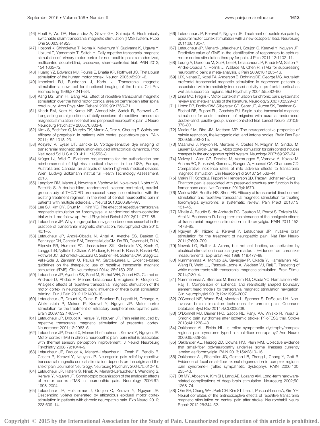- [46] Hoeft F, Wu DA, Hernandez A, Glover GH, Shimojo S. Electronically switchable sham transcranial magnetic stimulation (TMS) system. PLoS One 2008;3:e1923.
- [47] Hosomi K, Shimokawa T, Ikoma K, Nakamura Y, Sugiyama K, Ugawa Y, Uozumi T, Yamamoto T, Saitoh Y. Daily repetitive transcranial magnetic stimulation of primary motor cortex for neuropathic pain: a randomized, multicenter, double-blind, crossover, sham-controlled trial. PAIN 2013; 154:1065–72.
- [48] Huang YZ, Edwards MJ, Rounis E, Bhatia KP, Rothwell JC. Theta burst stimulation of the human motor cortex. Neuron 2005;45:201–6.
- [49] Ilmoniemi RJ, Ruohonen J, Karhu J. Transcranial magnetic stimulation–a new tool for functional imaging of the brain. Crit Rev Biomed Eng 1999;27:241–84.
- [50] Kang BS, Shin HI, Bang MS. Effect of repetitive transcranial magnetic stimulation over the hand motor cortical area on central pain after spinal cord injury. Arch Phys Med Rehabil 2009;90:1766–71.
- [51] Khedr EM, Kotb H, Kamel NF, Ahmed MA, Sadek R, Rothwell JC. Longlasting antalgic effects of daily sessions of repetitive transcranial magnetic stimulation in central and peripheral neuropathic pain. J Neurol Neurosurg Psychiatry 2005;76:833–8.
- [52] Kim JS, Bashford G, Murphy TK, Martin A, Dror V, Cheung R. Safety and efficacy of pregabalin in patients with central post-stroke pain. PAIN 2011;152:1018–23.
- [53] Kozyrev V, Eysel UT, Jancke D. Voltage-sensitive dye imaging of transcranial magnetic stimulation-induced intracortical dynamics. Proc Natl Acad Sci U S A 2014;111:13553–8.
- [54] Krüger LJ, Wild C. Evidence requirements for the authorization and reimbursement of high-risk medical devices in the USA, Europe, Australia and Canada: an analysis of seven high-risk medical devices. Wien: Ludwig Boltzmann Institut für Health Technology Assessment, 2013.
- [55] Langford RM, Mares J, Novotna A, Vachova M, Novakova I, Notcutt W, Ratcliffe S. A double-blind, randomized, placebo-controlled, parallelgroup study of THC/CBD oromucosal spray in combination with the existing treatment regimen, in the relief of central neuropathic pain in patients with multiple sclerosis. J Neurol 2013;260:984–97.
- [56] Lee SJ, Kim DY, Chun MH, Kim YG. The effect of repetitive transcranial magnetic stimulation on fibromyalgia: a randomized sham-controlled trial with 1-mo follow-up. Am J Phys Med Rehabil 2012;91:1077–85.
- [57] Lefaucheur JP. Why image-guided navigation becomes essential in the practice of transcranial magnetic stimulation. Neurophysiol Clin 2010; 40:1–5.
- [58] Lefaucheur JP, André-Obadia N, Antal A, Ayache SS, Baeken C, Benninger DH, Cantello RM, Cincotta M, de CM, De RD, Devanne H, Di LV, Filipovic SR, Hummel FC, Jaaskelainen SK, Kimiskidis VK, Koch G, Langguth B, Nyffeler T, Oliviero A, Padberg F, Poulet E, Rossi S, Rossini PM, Rothwell JC, Schonfeldt-Lecuona C, Siebner HR, Slotema CW, Stagg CJ, Valls-Sole J, Ziemann U, Paulus W, Garcia-Larrea L. Evidence-based guidelines on the therapeutic use of repetitive transcranial magnetic stimulation (rTMS). Clin Neurophysiol 2014;125:2150–206
- [59] Lefaucheur JP, Ayache SS, Sorel M, Farhat WH, Zouari HG, Ciampi de Andrade D, Ahdab R, Menard-Lefaucheur I, Brugieres P, Goujon C. Analgesic effects of repetitive transcranial magnetic stimulation of the motor cortex in neuropathic pain: influence of theta burst stimulation priming. Eur J Pain 2012;16:1403–13.
- [60] Lefaucheur JP, Drouot X, Cunin P, Bruckert R, Lepetit H, Créange A, Wolkenstein P, Maison P, Keravel Y, Nguyen JP. Motor cortex stimulation for the treatment of refractory peripheral neuropathic pain. Brain 2009;132:1463–71.
- [61] Lefaucheur JP, Drouot X, Keravel Y, Nguyen JP. Pain relief induced by repetitive transcranial magnetic stimulation of precentral cortex. Neuroreport 2001;12:2963–5.
- [62] Lefaucheur JP, Drouot X, Menard-Lefaucheur I, Keravel Y, Nguyen JP. Motor cortex rTMS in chronic neuropathic pain: pain relief is associated with thermal sensory perception improvement. J Neurol Neurosurg Psychiatry 2008;79:1044–9.
- [63] Lefaucheur JP, Drouot X, Menard-Lefaucheur I, Zerah F, Bendib B, Cesaro P, Keravel Y, Nguyen JP. Neurogenic pain relief by repetitive transcranial magnetic cortical stimulation depends on the origin and the site of pain. Journal of Neurology, Neurosurg Psychiatry 2004;75:612–16.
- [64] Lefaucheur JP, Hatem S, Nineb A, Menard-Lefaucheur I, Wendling S, Keravel Y, Nguyen JP. Somatotopic organization of the analgesic effects of motor cortex rTMS in neuropathic pain. Neurology 2006;67: 1998–2004.
- [65] Lefaucheur JP, Holsheimer J, Goujon C, Keravel Y, Nguyen JP. Descending volleys generated by efficacious epidural motor cortex stimulation in patients with chronic neuropathic pain. Exp Neurol 2010; 223:609–14.
- [66] Lefaucheur JP, Keravel Y, Nguyen JP. Treatment of poststroke pain by epidural motor cortex stimulation with a new octopolar lead. Neurosurg 2011;68:180–7.
- [67] Lefaucheur JP, Menard-Lefaucheur I, Goujon C, Keravel Y, Nguyen JP. Predictive value of rTMS in the identification of responders to epidural motor cortex stimulation therapy for pain. J Pain 2011;12:1102–11.
- [68] Leung A, Donohue M, Xu R, Lee R, Lefaucheur JP, Khedr EM, Saitoh Y, André-Obadia N, Rollnik J, Wallace M, Chen R. rTMS for suppressing neuropathic pain: a meta-analysis. J Pain 2009;10:1205–16.
- [69] Li X, Nahas Z, Kozel FA, Anderson B, Bohning DE, George MS. Acute left prefrontal transcranial magnetic stimulation in depressed patients is associated with immediately increased activity in prefrontal cortical as well as subcortical regions. Biol Psychiatry 2004;55:882–90.
- [70] Lima MC, Fregni F. Motor cortex stimulation for chronic pain: systematic review and meta-analysis of the literature. Neurology 2008;70:2329–37.
- [71] Lipton RB, Dodick DW, Silberstein SD, Saper JR, Aurora SK, Pearlman SH, Fischell RE, Ruppel PL, Goadsby PJ. Single-pulse transcranial magnetic stimulation for acute treatment of migraine with aura: a randomised, double-blind, parallel-group, sham-controlled trial. Lancet Neurol 2010;9: 373–80.
- [72] Maalouf M, Rho JM, Mattson MP. The neuroprotective properties of calorie restriction, the ketogenic diet, and ketone bodies. Brain Res Rev 2009;59:293–315.
- [73] Maarrawi J, Peyron R, Mertens P, Costes N, Magnin M, Sindou M, Laurent B, Garcia-Larrea L. Motor cortex stimulation for pain control induces changes in the endogenous opioid system. Neurology 2007;69:827–34.
- [74] Maizey L, Allen CP, Dervinis M, Verbruggen F, Varnava A, Kozlov M, Adams RC, Stokes M, Klemen J, Bungert A, Hounsell CA, Chambers CD. Comparative incidence rates of mild adverse effects to transcranial magnetic stimulation. Clin Neurophysiol 2013;124:536–44.
- [75] Makin TR, Scholz J, Filippini N, Henderson SD, Tracey I, Johansen-Berg H. Phantom pain is associated with preserved structure and function in the former hand area. Nat Commun 2013;4:1570.
- [76] Marlow NM, Bonilha HS, Short EB. Efficacy of transcranial direct current stimulation and repetitive transcranial magnetic stimulation for treating fibromyalgia syndrome: a systematic review. Pain Pract 2013;13: 131–45.
- [77] Mhalla A, Baudic S, de Andrade DC, Gautron M, Perrot S, Teixeira MJ, Attal N, Bouhassira D. Long-term maintenance of the analgesic effects of transcranial magnetic stimulation in fibromyalgia. PAIN 2011;152: 1478–85.
- [78] Nguyen JP, Nizard J, Keravel Y, Lefaucheur JP. Invasive brain stimulation for the treatment of neuropathic pain. Nat Rev Neurol 2011;7:699–709.
- [79] Nowak LG, Bullier J. Axons, but not cell bodies, are activated by electrical stimulation in cortical gray matter. I. Evidence from chronaxie measurements. Exp Brain Res 1998;118:477–88.
- [80] Nummenmaa A, McNab JA, Savadjiev P, Okada Y, Hamalainen MS, Wang R, Wald LL, Pascual-Leone A, Wedeen VJ, Raij T. Targeting of white matter tracts with transcranial magnetic stimulation. Brain Stimul 2014;7:80–4.
- [81] Nummenmaa A, Stenroos M, Ilmoniemi RJ, Okada YC, Hamalainen MS, Raij T. Comparison of spherical and realistically shaped boundary element head models for transcranial magnetic stimulation navigation. Clin Neurophysiol 2013;124:1995–2007.
- [82] O'Connell NE, Wand BM, Marston L, Spencer S, DeSouza LH. Noninvasive brain stimulation techniques for chronic pain. Cochrane Database Syst Rev 2014;4:CD008208.
- [83] O'Donnell MJ, Diener H-C, Sacco RL, Panju AA, Vinisko R, Yusuf S. Chronic pain syndromes after ischemic stroke: PRoFESS trial. Stroke 2013;44:1238–43.
- [84] Oaklander AL, Fields HL. Is reflex sympathetic dystrophy/complex regional pain syndrome type I a small-fiber neuropathy? Ann Neurol 2009;65:629–38.
- [85] Oaklander AL, Herzog ZD, Downs HM, Klein MM. Objective evidence that small-fiber polyneuropathy underlies some illnesses currently labeled as fibromyalgia. PAIN 2013;154:2310–16.
- [86] Oaklander AL, Rissmiller JG, Gelman LB, Zheng L, Chang Y, Gott R. Evidence of focal small-fiber axonal degeneration in complex regional pain syndrome-I (reflex sympathetic dystrophy). PAIN 2006;120: 235–43.
- [87] Oh MY, Abosch A, Kim SH, Lang AE, Lozano AM. Long-term hardwarerelated complications of deep brain stimulation. Neurosurg 2002;50: 1268–74.
- [88] Ohn SH, Chang WH, Park CH, Kim ST, Lee JI, Pascual-Leone A, Kim YH. Neural correlates of the antinociceptive effects of repetitive transcranial magnetic stimulation on central pain after stroke. Neurorehabil Neural Repair 2012;26:344–52.